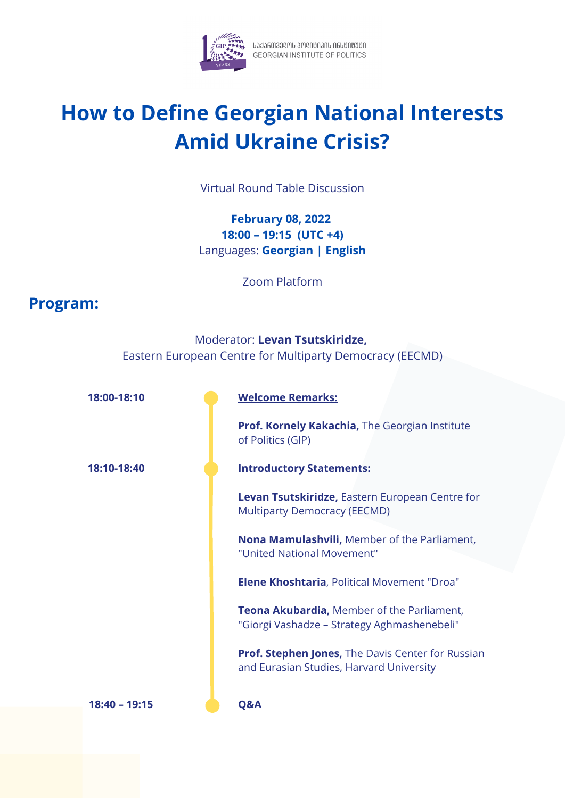

โปปวัดติวิวตาม 3Mตายการที่ ที่ 6มชาชีวิชัก<br>GEORGIAN INSTITUTE OF POLITICS

## **How to Define Georgian National Interests Amid Ukraine Crisis?**

Virtual Round Table Discussion

## **February 08, 2022 18:00 – 19:15 (UTC +4)** Languages: **Georgian | English**

Zoom Platform

## **Program:**

|               | <b>Moderator: Levan Tsutskiridze,</b><br>Eastern European Centre for Multiparty Democracy (EECMD)    |
|---------------|------------------------------------------------------------------------------------------------------|
|               |                                                                                                      |
| 18:00-18:10   | <b>Welcome Remarks:</b>                                                                              |
|               | Prof. Kornely Kakachia, The Georgian Institute<br>of Politics (GIP)                                  |
| 18:10-18:40   | <b>Introductory Statements:</b>                                                                      |
|               | Levan Tsutskiridze, Eastern European Centre for<br><b>Multiparty Democracy (EECMD)</b>               |
|               | Nona Mamulashvili, Member of the Parliament,<br>"United National Movement"                           |
|               | <b>Elene Khoshtaria, Political Movement "Droa"</b>                                                   |
|               | <b>Teona Akubardia, Member of the Parliament,</b><br>"Giorgi Vashadze - Strategy Aghmashenebeli"     |
|               | <b>Prof. Stephen Jones, The Davis Center for Russian</b><br>and Eurasian Studies, Harvard University |
| 18:40 - 19:15 | Q&A                                                                                                  |